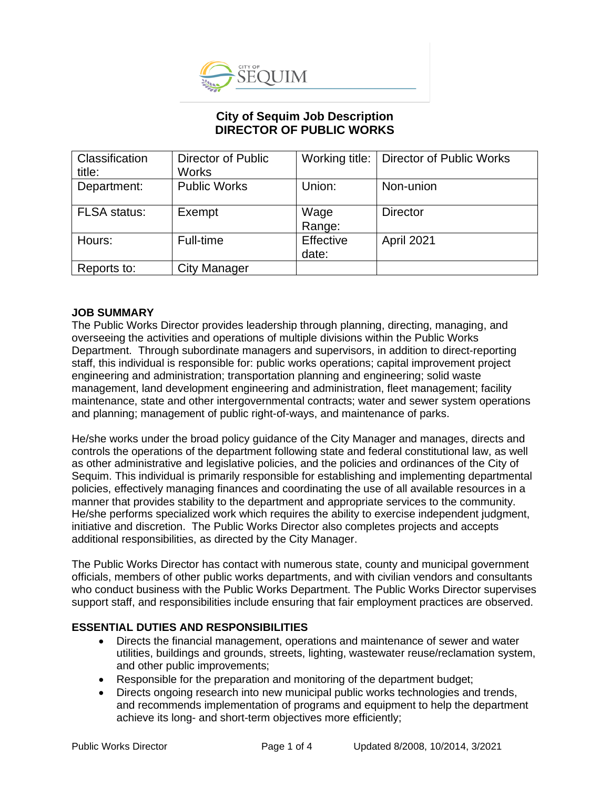

# **City of Sequim Job Description DIRECTOR OF PUBLIC WORKS**

| Classification<br>title: | <b>Director of Public</b><br><b>Works</b> |                    | Working title:   Director of Public Works |
|--------------------------|-------------------------------------------|--------------------|-------------------------------------------|
| Department:              | <b>Public Works</b>                       | Union:             | Non-union                                 |
| <b>FLSA</b> status:      | Exempt                                    | Wage<br>Range:     | <b>Director</b>                           |
| Hours:                   | Full-time                                 | Effective<br>date: | April 2021                                |
| Reports to:              | <b>City Manager</b>                       |                    |                                           |

### **JOB SUMMARY**

The Public Works Director provides leadership through planning, directing, managing, and overseeing the activities and operations of multiple divisions within the Public Works Department. Through subordinate managers and supervisors, in addition to direct-reporting staff, this individual is responsible for: public works operations; capital improvement project engineering and administration; transportation planning and engineering; solid waste management, land development engineering and administration, fleet management; facility maintenance, state and other intergovernmental contracts; water and sewer system operations and planning; management of public right-of-ways, and maintenance of parks.

He/she works under the broad policy guidance of the City Manager and manages, directs and controls the operations of the department following state and federal constitutional law, as well as other administrative and legislative policies, and the policies and ordinances of the City of Sequim. This individual is primarily responsible for establishing and implementing departmental policies, effectively managing finances and coordinating the use of all available resources in a manner that provides stability to the department and appropriate services to the community. He/she performs specialized work which requires the ability to exercise independent judgment, initiative and discretion. The Public Works Director also completes projects and accepts additional responsibilities, as directed by the City Manager.

The Public Works Director has contact with numerous state, county and municipal government officials, members of other public works departments, and with civilian vendors and consultants who conduct business with the Public Works Department. The Public Works Director supervises support staff, and responsibilities include ensuring that fair employment practices are observed.

### **ESSENTIAL DUTIES AND RESPONSIBILITIES**

- Directs the financial management, operations and maintenance of sewer and water utilities, buildings and grounds, streets, lighting, wastewater reuse/reclamation system, and other public improvements;
- Responsible for the preparation and monitoring of the department budget;
- Directs ongoing research into new municipal public works technologies and trends, and recommends implementation of programs and equipment to help the department achieve its long- and short-term objectives more efficiently;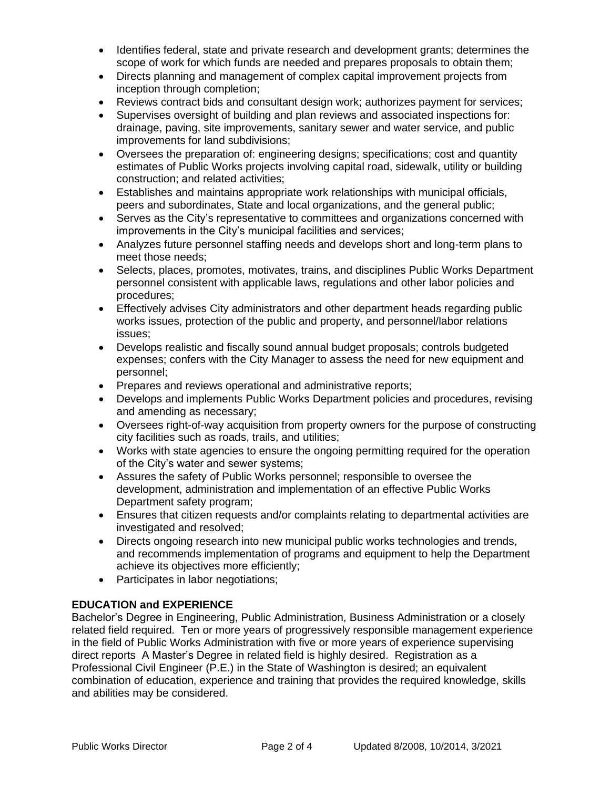- Identifies federal, state and private research and development grants; determines the scope of work for which funds are needed and prepares proposals to obtain them;
- Directs planning and management of complex capital improvement projects from inception through completion;
- Reviews contract bids and consultant design work; authorizes payment for services;
- Supervises oversight of building and plan reviews and associated inspections for: drainage, paving, site improvements, sanitary sewer and water service, and public improvements for land subdivisions;
- Oversees the preparation of: engineering designs; specifications; cost and quantity estimates of Public Works projects involving capital road, sidewalk, utility or building construction; and related activities;
- Establishes and maintains appropriate work relationships with municipal officials, peers and subordinates, State and local organizations, and the general public;
- Serves as the City's representative to committees and organizations concerned with improvements in the City's municipal facilities and services;
- Analyzes future personnel staffing needs and develops short and long-term plans to meet those needs;
- Selects, places, promotes, motivates, trains, and disciplines Public Works Department personnel consistent with applicable laws, regulations and other labor policies and procedures;
- Effectively advises City administrators and other department heads regarding public works issues, protection of the public and property, and personnel/labor relations issues;
- Develops realistic and fiscally sound annual budget proposals; controls budgeted expenses; confers with the City Manager to assess the need for new equipment and personnel;
- Prepares and reviews operational and administrative reports;
- Develops and implements Public Works Department policies and procedures, revising and amending as necessary;
- Oversees right-of-way acquisition from property owners for the purpose of constructing city facilities such as roads, trails, and utilities;
- Works with state agencies to ensure the ongoing permitting required for the operation of the City's water and sewer systems;
- Assures the safety of Public Works personnel; responsible to oversee the development, administration and implementation of an effective Public Works Department safety program;
- Ensures that citizen requests and/or complaints relating to departmental activities are investigated and resolved;
- Directs ongoing research into new municipal public works technologies and trends, and recommends implementation of programs and equipment to help the Department achieve its objectives more efficiently;
- Participates in labor negotiations;

# **EDUCATION and EXPERIENCE**

Bachelor's Degree in Engineering, Public Administration, Business Administration or a closely related field required. Ten or more years of progressively responsible management experience in the field of Public Works Administration with five or more years of experience supervising direct reports A Master's Degree in related field is highly desired. Registration as a Professional Civil Engineer (P.E.) in the State of Washington is desired; an equivalent combination of education, experience and training that provides the required knowledge, skills and abilities may be considered.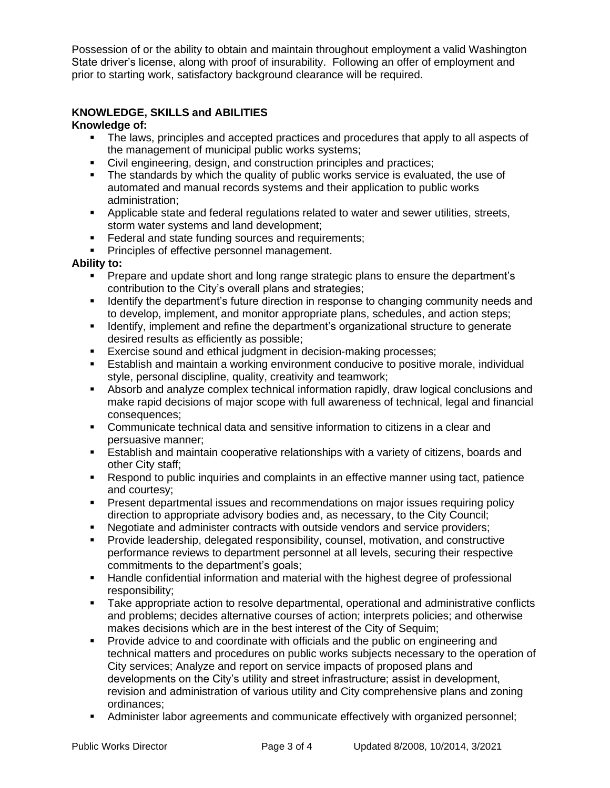Possession of or the ability to obtain and maintain throughout employment a valid Washington State driver's license, along with proof of insurability. Following an offer of employment and prior to starting work, satisfactory background clearance will be required.

## **KNOWLEDGE, SKILLS and ABILITIES**

#### **Knowledge of:**

- The laws, principles and accepted practices and procedures that apply to all aspects of the management of municipal public works systems;
- Civil engineering, design, and construction principles and practices;
- **•** The standards by which the quality of public works service is evaluated, the use of automated and manual records systems and their application to public works administration;
- Applicable state and federal regulations related to water and sewer utilities, streets, storm water systems and land development;
- Federal and state funding sources and requirements;
- **Principles of effective personnel management.**

#### **Ability to:**

- Prepare and update short and long range strategic plans to ensure the department's contribution to the City's overall plans and strategies;
- **■** Identify the department's future direction in response to changing community needs and to develop, implement, and monitor appropriate plans, schedules, and action steps;
- **■** Identify, implement and refine the department's organizational structure to generate desired results as efficiently as possible;
- Exercise sound and ethical judgment in decision-making processes;
- **E** Establish and maintain a working environment conducive to positive morale, individual style, personal discipline, quality, creativity and teamwork;
- **E** Absorb and analyze complex technical information rapidly, draw logical conclusions and make rapid decisions of major scope with full awareness of technical, legal and financial consequences;
- Communicate technical data and sensitive information to citizens in a clear and persuasive manner;
- **E** Establish and maintain cooperative relationships with a variety of citizens, boards and other City staff;
- Respond to public inquiries and complaints in an effective manner using tact, patience and courtesy;
- **Present departmental issues and recommendations on major issues requiring policy** direction to appropriate advisory bodies and, as necessary, to the City Council;
- Negotiate and administer contracts with outside vendors and service providers;
- Provide leadership, delegated responsibility, counsel, motivation, and constructive performance reviews to department personnel at all levels, securing their respective commitments to the department's goals;
- **E** Handle confidential information and material with the highest degree of professional responsibility;
- Take appropriate action to resolve departmental, operational and administrative conflicts and problems; decides alternative courses of action; interprets policies; and otherwise makes decisions which are in the best interest of the City of Sequim;
- Provide advice to and coordinate with officials and the public on engineering and technical matters and procedures on public works subjects necessary to the operation of City services; Analyze and report on service impacts of proposed plans and developments on the City's utility and street infrastructure; assist in development, revision and administration of various utility and City comprehensive plans and zoning ordinances;
- Administer labor agreements and communicate effectively with organized personnel;